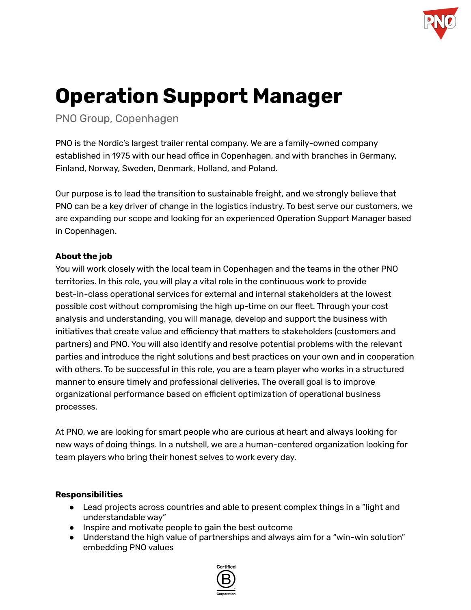

# **Operation Support Manager**

PNO Group, Copenhagen

PNO is the Nordic's largest trailer rental company. We are a family-owned company established in 1975 with our head office in Copenhagen, and with branches in Germany, Finland, Norway, Sweden, Denmark, Holland, and Poland.

Our purpose is to lead the transition to sustainable freight, and we strongly believe that PNO can be a key driver of change in the logistics industry. To best serve our customers, we are expanding our scope and looking for an experienced Operation Support Manager based in Copenhagen.

# **About the job**

You will work closely with the local team in Copenhagen and the teams in the other PNO territories. In this role, you will play a vital role in the continuous work to provide best-in-class operational services for external and internal stakeholders at the lowest possible cost without compromising the high up-time on our fleet. Through your cost analysis and understanding, you will manage, develop and support the business with initiatives that create value and efficiency that matters to stakeholders (customers and partners) and PNO. You will also identify and resolve potential problems with the relevant parties and introduce the right solutions and best practices on your own and in cooperation with others. To be successful in this role, you are a team player who works in a structured manner to ensure timely and professional deliveries. The overall goal is to improve organizational performance based on efficient optimization of operational business processes.

At PNO, we are looking for smart people who are curious at heart and always looking for new ways of doing things. In a nutshell, we are a human-centered organization looking for team players who bring their honest selves to work every day.

# **Responsibilities**

- Lead projects across countries and able to present complex things in a "light and understandable way"
- Inspire and motivate people to gain the best outcome
- Understand the high value of partnerships and always aim for a "win-win solution" embedding PNO values